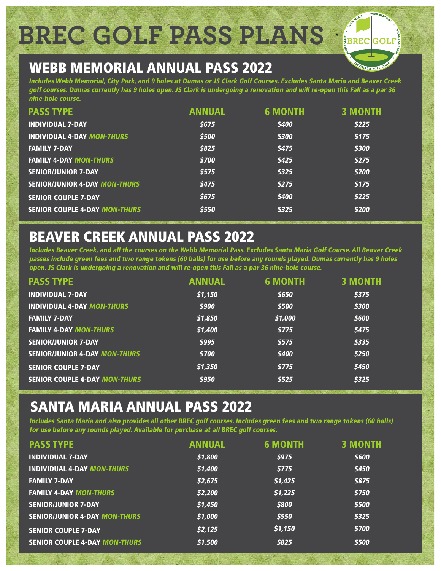**BREC GOLF PASS PLANS**

# WEBB MEMORIAL ANNUAL PASS 2022

Includes Webb Memorial, City Park, and 9 holes at Dumas or JS Clark Golf Courses. Excludes Santa Maria and Beaver Creek golf courses. Dumas currently has 9 holes open. JS Clark is undergoing a renovation and will re-open this Fall as a par 36 nine-hole course.

| <b>PASS TYPE</b>                     | <b>ANNUAL</b> | <b>6 MONTH</b> | <b>3 MONTH</b> |
|--------------------------------------|---------------|----------------|----------------|
| <b>INDIVIDUAL 7-DAY</b>              | \$675         | \$400          | \$225          |
| <b>INDIVIDUAL 4-DAY MON-THURS</b>    | \$500         | \$300          | \$175          |
| <b>FAMILY 7-DAY</b>                  | \$825         | \$475          | \$300          |
| <b>FAMILY 4-DAY MON-THURS</b>        | \$700         | \$425          | \$275          |
| <b>SENIOR/JUNIOR 7-DAY</b>           | \$575         | \$325          | \$200          |
| <b>SENIOR/JUNIOR 4-DAY MON-THURS</b> | \$475         | \$275          | \$175          |
| <b>SENIOR COUPLE 7-DAY</b>           | \$675         | \$400          | \$225          |
| <b>SENIOR COUPLE 4-DAY MON-THURS</b> | \$550         | \$325          | \$200          |

# BEAVER CREEK ANNUAL PASS 2022

Includes Beaver Creek, and all the courses on the Webb Memorial Pass. Excludes Santa Maria Golf Course. All Beaver Creek passes include green fees and two range tokens (60 balls) for use before any rounds played. Dumas currently has 9 holes open. JS Clark is undergoing a renovation and will re-open this Fall as a par 36 nine-hole course.

| <b>PASS TYPE</b>                     | <b>ANNUAL</b> | <b>6 MONTH</b> | <b>3 MONTH</b> |
|--------------------------------------|---------------|----------------|----------------|
| <b>INDIVIDUAL 7-DAY</b>              | \$1,150       | \$650          | \$375          |
| <b>INDIVIDUAL 4-DAY MON-THURS</b>    | \$900         | \$500          | \$300          |
| <b>FAMILY 7-DAY</b>                  | \$1,850       | \$1,000        | \$600          |
| <b>FAMILY 4-DAY MON-THURS</b>        | \$1,400       | \$775          | \$475          |
| <b>SENIOR/JUNIOR 7-DAY</b>           | \$995         | \$575          | \$335          |
| <b>SENIOR/JUNIOR 4-DAY MON-THURS</b> | \$700         | \$400          | \$250          |
| <b>SENIOR COUPLE 7-DAY</b>           | \$1,350       | \$775          | \$450          |
| <b>SENIOR COUPLE 4-DAY MON-THURS</b> | \$950         | \$525          | \$325          |

# SANTA MARIA ANNUAL PASS 2022

Includes Santa Maria and also provides all other BREC golf courses. Includes green fees and two range tokens (60 balls) for use before any rounds played. Available for purchase at all BREC golf courses.

| <b>PASS TYPE</b>                     | <b>ANNUAL</b> | <b>6 MONTH</b> | <b>3 MONTH</b> |
|--------------------------------------|---------------|----------------|----------------|
| <b>INDIVIDUAL 7-DAY</b>              | \$1,800       | \$975          | \$600          |
| <b>INDIVIDUAL 4-DAY MON-THURS</b>    | \$1,400       | \$775          | \$450          |
| <b>FAMILY 7-DAY</b>                  | \$2,675       | \$1,425        | \$875          |
| <b>FAMILY 4-DAY MON-THURS</b>        | \$2,200       | \$1,225        | \$750          |
| <b>SENIOR/JUNIOR 7-DAY</b>           | \$1,450       | \$800          | \$500          |
| <b>SENIOR/JUNIOR 4-DAY MON-THURS</b> | \$1,000       | \$550          | \$325          |
| <b>SENIOR COUPLE 7-DAY</b>           | \$2,125       | \$1,150        | \$700          |
| <b>SENIOR COUPLE 4-DAY MON-THURS</b> | \$1,500       | \$825          | \$500          |